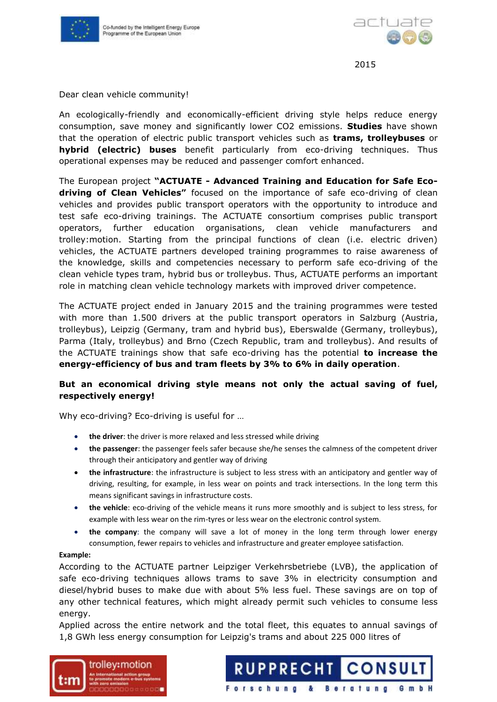



Dear clean vehicle community!

An ecologically-friendly and economically-efficient driving style helps reduce energy consumption, save money and significantly lower CO2 emissions. **Studies** have shown that the operation of electric public transport vehicles such as **trams, trolleybuses** or **hybrid (electric) buses** benefit particularly from eco-driving techniques. Thus operational expenses may be reduced and passenger comfort enhanced.

The European project **"ACTUATE - Advanced Training and Education for Safe Ecodriving of Clean Vehicles"** focused on the importance of safe eco-driving of clean vehicles and provides public transport operators with the opportunity to introduce and test safe eco-driving trainings. The ACTUATE consortium comprises public transport operators, further education organisations, clean vehicle manufacturers and trolley:motion. Starting from the principal functions of clean (i.e. electric driven) vehicles, the ACTUATE partners developed training programmes to raise awareness of the knowledge, skills and competencies necessary to perform safe eco-driving of the clean vehicle types tram, hybrid bus or trolleybus. Thus, ACTUATE performs an important role in matching clean vehicle technology markets with improved driver competence.

The ACTUATE project ended in January 2015 and the training programmes were tested with more than 1.500 drivers at the public transport operators in Salzburg (Austria, trolleybus), Leipzig (Germany, tram and hybrid bus), Eberswalde (Germany, trolleybus), Parma (Italy, trolleybus) and Brno (Czech Republic, tram and trolleybus). And results of the ACTUATE trainings show that safe eco-driving has the potential **to increase the energy-efficiency of bus and tram fleets by 3% to 6% in daily operation**.

## **But an economical driving style means not only the actual saving of fuel, respectively energy!**

Why eco-driving? Eco-driving is useful for …

- **the driver**: the driver is more relaxed and less stressed while driving
- **the passenger**: the passenger feels safer because she/he senses the calmness of the competent driver through their anticipatory and gentler way of driving
- **the infrastructure**: the infrastructure is subject to less stress with an anticipatory and gentler way of driving, resulting, for example, in less wear on points and track intersections. In the long term this means significant savings in infrastructure costs.
- **the vehicle**: eco-driving of the vehicle means it runs more smoothly and is subject to less stress, for example with less wear on the rim-tyres or less wear on the electronic control system.
- **the company**: the company will save a lot of money in the long term through lower energy consumption, fewer repairs to vehicles and infrastructure and greater employee satisfaction.

## **Example:**

According to the ACTUATE partner Leipziger Verkehrsbetriebe (LVB), the application of safe eco-driving techniques allows trams to save 3% in electricity consumption and diesel/hybrid buses to make due with about 5% less fuel. These savings are on top of any other technical features, which might already permit such vehicles to consume less energy.

Applied across the entire network and the total fleet, this equates to annual savings of 1,8 GWh less energy consumption for Leipzig's trams and about 225 000 litres of



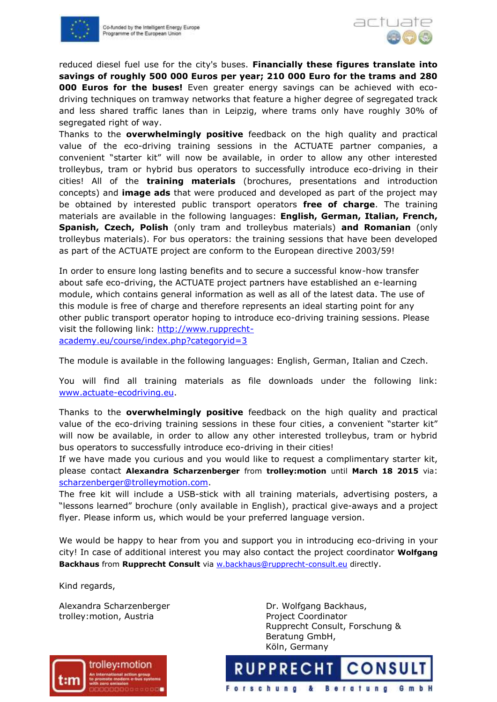



reduced diesel fuel use for the city's buses. **Financially these figures translate into savings of roughly 500 000 Euros per year; 210 000 Euro for the trams and 280 000 Euros for the buses!** Even greater energy savings can be achieved with ecodriving techniques on tramway networks that feature a higher degree of segregated track and less shared traffic lanes than in Leipzig, where trams only have roughly 30% of segregated right of way.

Thanks to the **overwhelmingly positive** feedback on the high quality and practical value of the eco-driving training sessions in the ACTUATE partner companies, a convenient "starter kit" will now be available, in order to allow any other interested trolleybus, tram or hybrid bus operators to successfully introduce eco-driving in their cities! All of the **training materials** (brochures, presentations and introduction concepts) and **image ads** that were produced and developed as part of the project may be obtained by interested public transport operators **free of charge**. The training materials are available in the following languages: **English, German, Italian, French, Spanish, Czech, Polish** (only tram and trolleybus materials) **and Romanian** (only trolleybus materials). For bus operators: the training sessions that have been developed as part of the ACTUATE project are conform to the European directive 2003/59!

In order to ensure long lasting benefits and to secure a successful know-how transfer about safe eco-driving, the ACTUATE project partners have established an e-learning module, which contains general information as well as all of the latest data. The use of this module is free of charge and therefore represents an ideal starting point for any other public transport operator hoping to introduce eco-driving training sessions. Please visit the following link: [http://www.rupprecht](http://www.rupprecht-academy.eu/course/index.php?categoryid=3)[academy.eu/course/index.php?categoryid=3](http://www.rupprecht-academy.eu/course/index.php?categoryid=3)

The module is available in the following languages: English, German, Italian and Czech.

You will find all training materials as file downloads under the following link: [www.actuate-ecodriving.eu.](http://www.actuate-ecodriving.eu/)

Thanks to the **overwhelmingly positive** feedback on the high quality and practical value of the eco-driving training sessions in these four cities, a convenient "starter kit" will now be available, in order to allow any other interested trolleybus, tram or hybrid bus operators to successfully introduce eco-driving in their cities!

If we have made you curious and you would like to request a complimentary starter kit, please contact **Alexandra Scharzenberger** from **trolley:motion** until **March 18 2015** via: [scharzenberger@trolleymotion.com.](mailto:scharzenberger@trolleymotion.com)

The free kit will include a USB-stick with all training materials, advertising posters, a "lessons learned" brochure (only available in English), practical give-aways and a project flyer. Please inform us, which would be your preferred language version.

We would be happy to hear from you and support you in introducing eco-driving in your city! In case of additional interest you may also contact the project coordinator **Wolfgang Backhaus** from **Rupprecht Consult** via [w.backhaus@rupprecht-consult.eu](mailto:w.backhaus@rupprecht-consult.eu) directly.

Kind regards,

Alexandra Scharzenberger **Dr. Wolfgang Backhaus,** trolley: motion, Austria entry and the Project Coordinator

trolley:motion

Rupprecht Consult, Forschung & Beratung GmbH, Köln, Germany